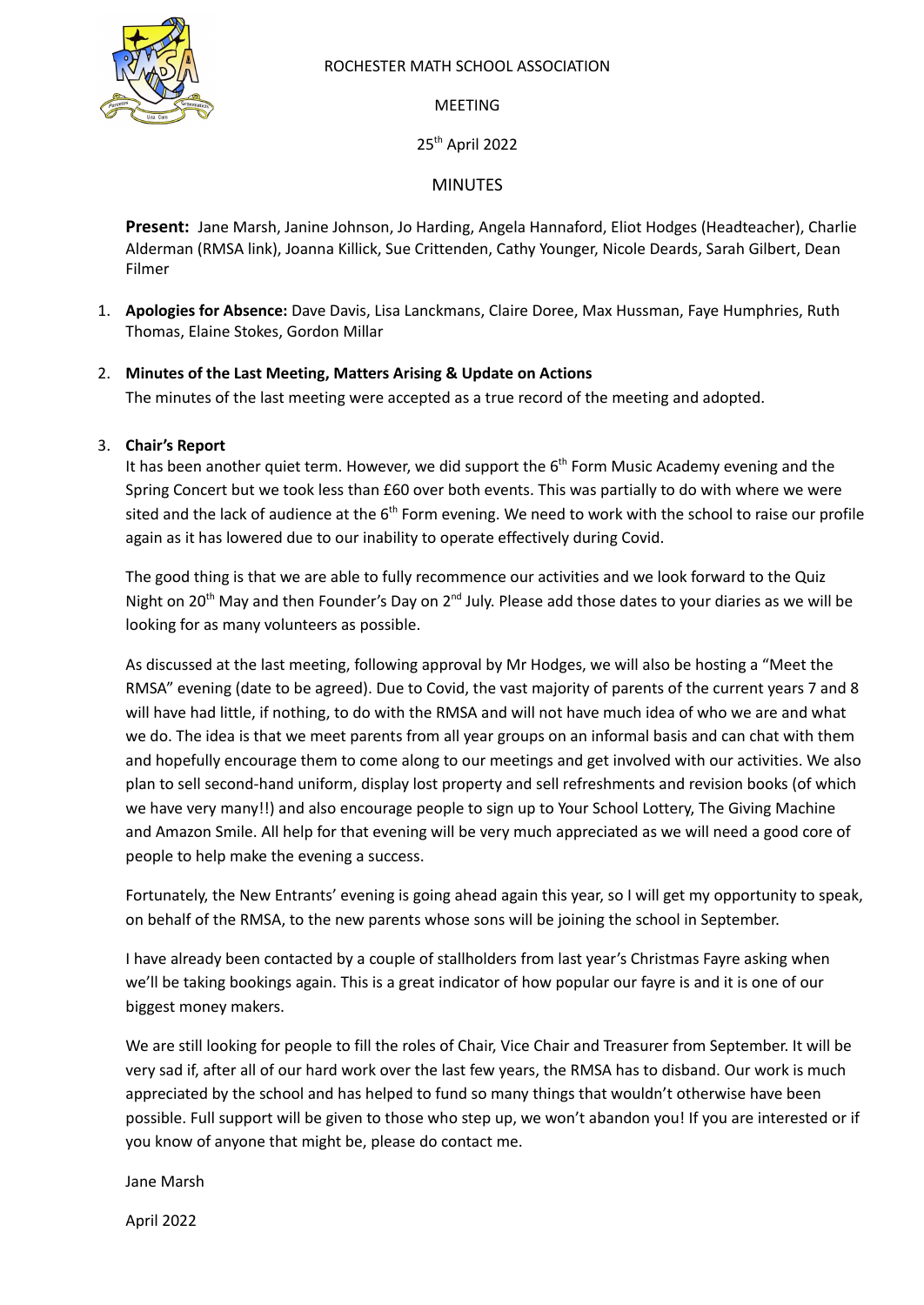

#### ROCHESTER MATH SCHOOL ASSOCIATION

#### **MFFTING**

25<sup>th</sup> April 2022

#### MINUTES

**Present:** Jane Marsh, Janine Johnson, Jo Harding, Angela Hannaford, Eliot Hodges (Headteacher), Charlie Alderman (RMSA link), Joanna Killick, Sue Crittenden, Cathy Younger, Nicole Deards, Sarah Gilbert, Dean Filmer

1. **Apologies for Absence:** Dave Davis, Lisa Lanckmans, Claire Doree, Max Hussman, Faye Humphries, Ruth Thomas, Elaine Stokes, Gordon Millar

#### 2. **Minutes of the Last Meeting, Matters Arising & Update on Actions**

The minutes of the last meeting were accepted as a true record of the meeting and adopted.

#### 3. **Chair's Report**

It has been another quiet term. However, we did support the  $6<sup>th</sup>$  Form Music Academy evening and the Spring Concert but we took less than £60 over both events. This was partially to do with where we were sited and the lack of audience at the 6<sup>th</sup> Form evening. We need to work with the school to raise our profile again as it has lowered due to our inability to operate effectively during Covid.

The good thing is that we are able to fully recommence our activities and we look forward to the Quiz Night on 20<sup>th</sup> May and then Founder's Day on 2<sup>nd</sup> July. Please add those dates to your diaries as we will be looking for as many volunteers as possible.

As discussed at the last meeting, following approval by Mr Hodges, we will also be hosting a "Meet the RMSA" evening (date to be agreed). Due to Covid, the vast majority of parents of the current years 7 and 8 will have had little, if nothing, to do with the RMSA and will not have much idea of who we are and what we do. The idea is that we meet parents from all year groups on an informal basis and can chat with them and hopefully encourage them to come along to our meetings and get involved with our activities. We also plan to sell second-hand uniform, display lost property and sell refreshments and revision books (of which we have very many!!) and also encourage people to sign up to Your School Lottery, The Giving Machine and Amazon Smile. All help for that evening will be very much appreciated as we will need a good core of people to help make the evening a success.

Fortunately, the New Entrants' evening is going ahead again this year, so I will get my opportunity to speak, on behalf of the RMSA, to the new parents whose sons will be joining the school in September.

I have already been contacted by a couple of stallholders from last year's Christmas Fayre asking when we'll be taking bookings again. This is a great indicator of how popular our fayre is and it is one of our biggest money makers.

We are still looking for people to fill the roles of Chair, Vice Chair and Treasurer from September. It will be very sad if, after all of our hard work over the last few years, the RMSA has to disband. Our work is much appreciated by the school and has helped to fund so many things that wouldn't otherwise have been possible. Full support will be given to those who step up, we won't abandon you! If you are interested or if you know of anyone that might be, please do contact me.

Jane Marsh

April 2022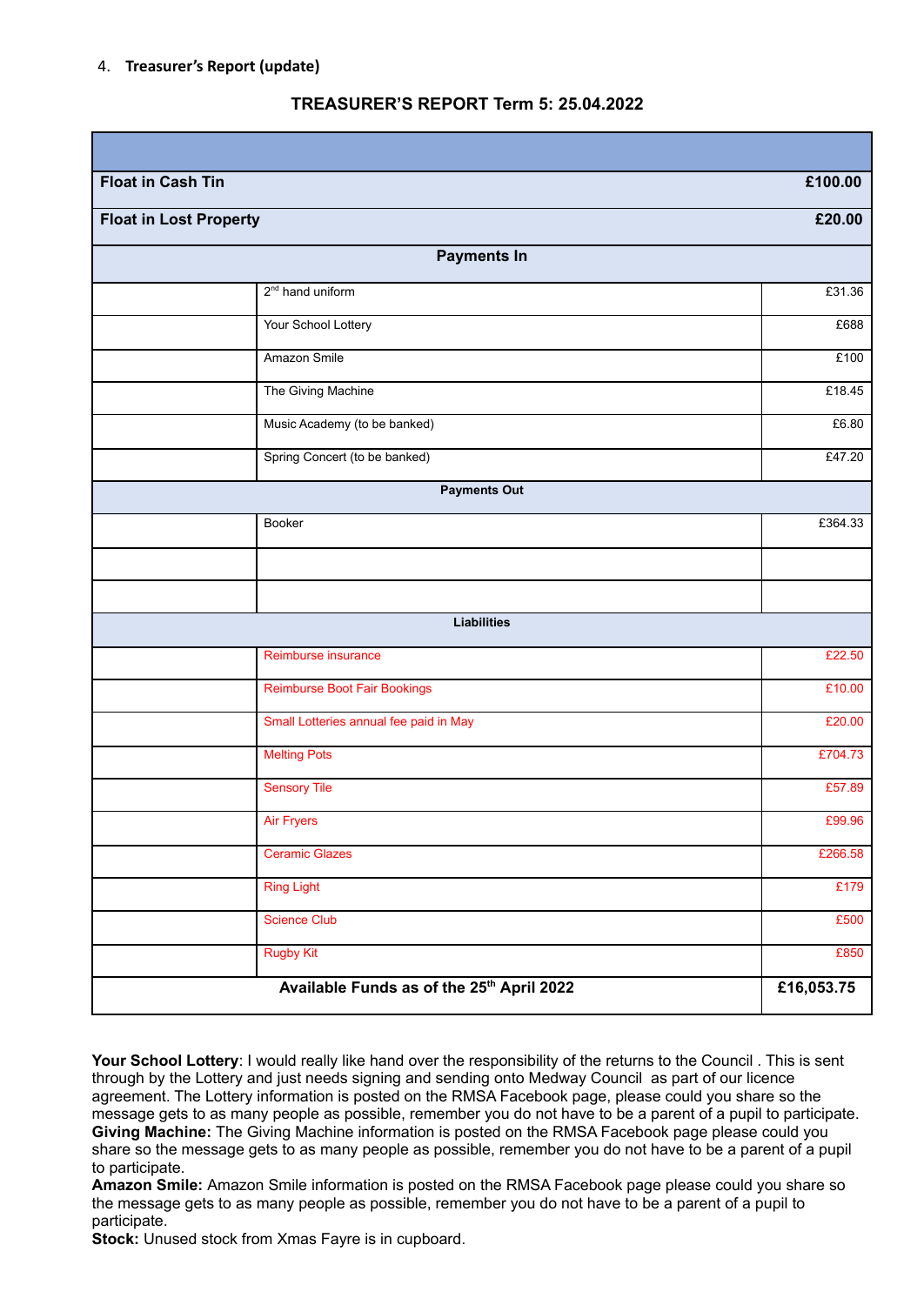#### 4. **Treasurer's Report (update)**

## **TREASURER'S REPORT Term 5: 25.04.2022**

| <b>Float in Cash Tin</b>                  | £100.00    |  |  |  |  |
|-------------------------------------------|------------|--|--|--|--|
| <b>Float in Lost Property</b>             | £20.00     |  |  |  |  |
| <b>Payments In</b>                        |            |  |  |  |  |
| 2 <sup>nd</sup> hand uniform              | £31.36     |  |  |  |  |
| Your School Lottery                       | £688       |  |  |  |  |
| Amazon Smile                              | £100       |  |  |  |  |
| The Giving Machine                        | £18.45     |  |  |  |  |
| Music Academy (to be banked)              | £6.80      |  |  |  |  |
| Spring Concert (to be banked)             | £47.20     |  |  |  |  |
| <b>Payments Out</b>                       |            |  |  |  |  |
| Booker                                    | £364.33    |  |  |  |  |
|                                           |            |  |  |  |  |
|                                           |            |  |  |  |  |
| <b>Liabilities</b>                        |            |  |  |  |  |
| Reimburse insurance                       | £22.50     |  |  |  |  |
| <b>Reimburse Boot Fair Bookings</b>       | £10.00     |  |  |  |  |
| Small Lotteries annual fee paid in May    | £20.00     |  |  |  |  |
| <b>Melting Pots</b>                       | £704.73    |  |  |  |  |
| <b>Sensory Tile</b>                       | £57.89     |  |  |  |  |
| <b>Air Fryers</b>                         | £99.96     |  |  |  |  |
| <b>Ceramic Glazes</b>                     | £266.58    |  |  |  |  |
| <b>Ring Light</b>                         | £179       |  |  |  |  |
| <b>Science Club</b>                       | £500       |  |  |  |  |
| <b>Rugby Kit</b>                          | £850       |  |  |  |  |
| Available Funds as of the 25th April 2022 | £16,053.75 |  |  |  |  |

**Your School Lottery**: I would really like hand over the responsibility of the returns to the Council . This is sent through by the Lottery and just needs signing and sending onto Medway Council as part of our licence agreement. The Lottery information is posted on the RMSA Facebook page, please could you share so the message gets to as many people as possible, remember you do not have to be a parent of a pupil to participate. **Giving Machine:** The Giving Machine information is posted on the RMSA Facebook page please could you share so the message gets to as many people as possible, remember you do not have to be a parent of a pupil to participate.

**Amazon Smile:** Amazon Smile information is posted on the RMSA Facebook page please could you share so the message gets to as many people as possible, remember you do not have to be a parent of a pupil to participate.

**Stock:** Unused stock from Xmas Fayre is in cupboard.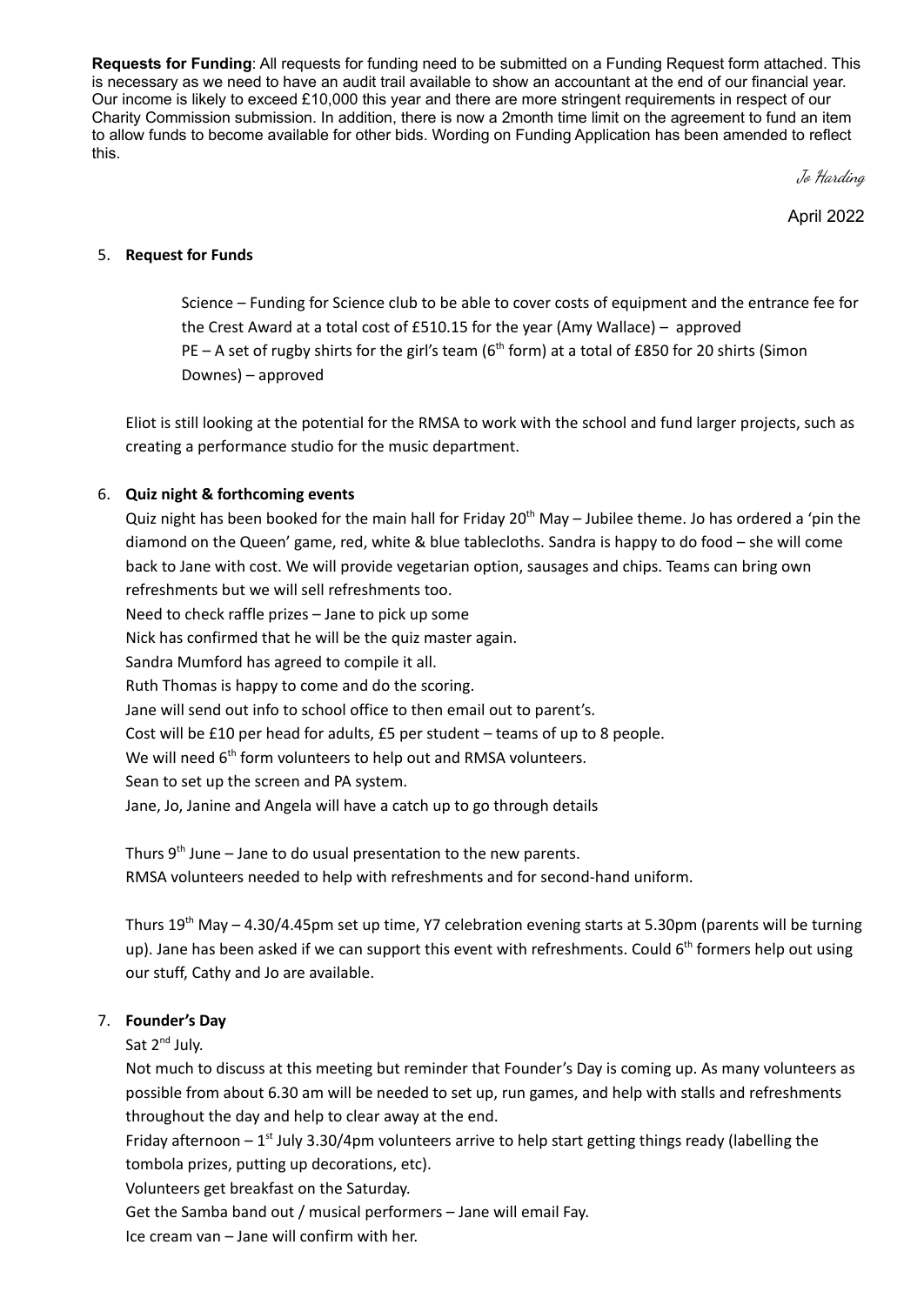**Requests for Funding**: All requests for funding need to be submitted on a Funding Request form attached. This is necessary as we need to have an audit trail available to show an accountant at the end of our financial year. Our income is likely to exceed £10,000 this year and there are more stringent requirements in respect of our Charity Commission submission. In addition, there is now a 2month time limit on the agreement to fund an item to allow funds to become available for other bids. Wording on Funding Application has been amended to reflect this.

Jo Harding

April 2022

#### 5. **Request for Funds**

Science – Funding for Science club to be able to cover costs of equipment and the entrance fee for the Crest Award at a total cost of £510.15 for the year (Amy Wallace) – approved PE  $-$  A set of rugby shirts for the girl's team (6<sup>th</sup> form) at a total of £850 for 20 shirts (Simon Downes) – approved

Eliot is still looking at the potential for the RMSA to work with the school and fund larger projects, such as creating a performance studio for the music department.

## 6. **Quiz night & forthcoming events**

Quiz night has been booked for the main hall for Friday 20<sup>th</sup> May – Jubilee theme. Jo has ordered a 'pin the diamond on the Queen' game, red, white & blue tablecloths. Sandra is happy to do food – she will come back to Jane with cost. We will provide vegetarian option, sausages and chips. Teams can bring own refreshments but we will sell refreshments too. Need to check raffle prizes – Jane to pick up some Nick has confirmed that he will be the quiz master again. Sandra Mumford has agreed to compile it all. Ruth Thomas is happy to come and do the scoring. Jane will send out info to school office to then email out to parent's. Cost will be £10 per head for adults, £5 per student – teams of up to 8 people. We will need  $6<sup>th</sup>$  form volunteers to help out and RMSA volunteers. Sean to set up the screen and PA system. Jane, Jo, Janine and Angela will have a catch up to go through details

Thurs 9<sup>th</sup> June – Jane to do usual presentation to the new parents. RMSA volunteers needed to help with refreshments and for second-hand uniform.

Thurs 19<sup>th</sup> May – 4.30/4.45pm set up time, Y7 celebration evening starts at 5.30pm (parents will be turning up). Jane has been asked if we can support this event with refreshments. Could 6<sup>th</sup> formers help out using our stuff, Cathy and Jo are available.

## 7. **Founder's Day**

Sat 2<sup>nd</sup> July.

Not much to discuss at this meeting but reminder that Founder's Day is coming up. As many volunteers as possible from about 6.30 am will be needed to set up, run games, and help with stalls and refreshments throughout the day and help to clear away at the end.

Friday afternoon  $-1^{st}$  July 3.30/4pm volunteers arrive to help start getting things ready (labelling the tombola prizes, putting up decorations, etc).

Volunteers get breakfast on the Saturday.

Get the Samba band out / musical performers – Jane will email Fay.

Ice cream van – Jane will confirm with her.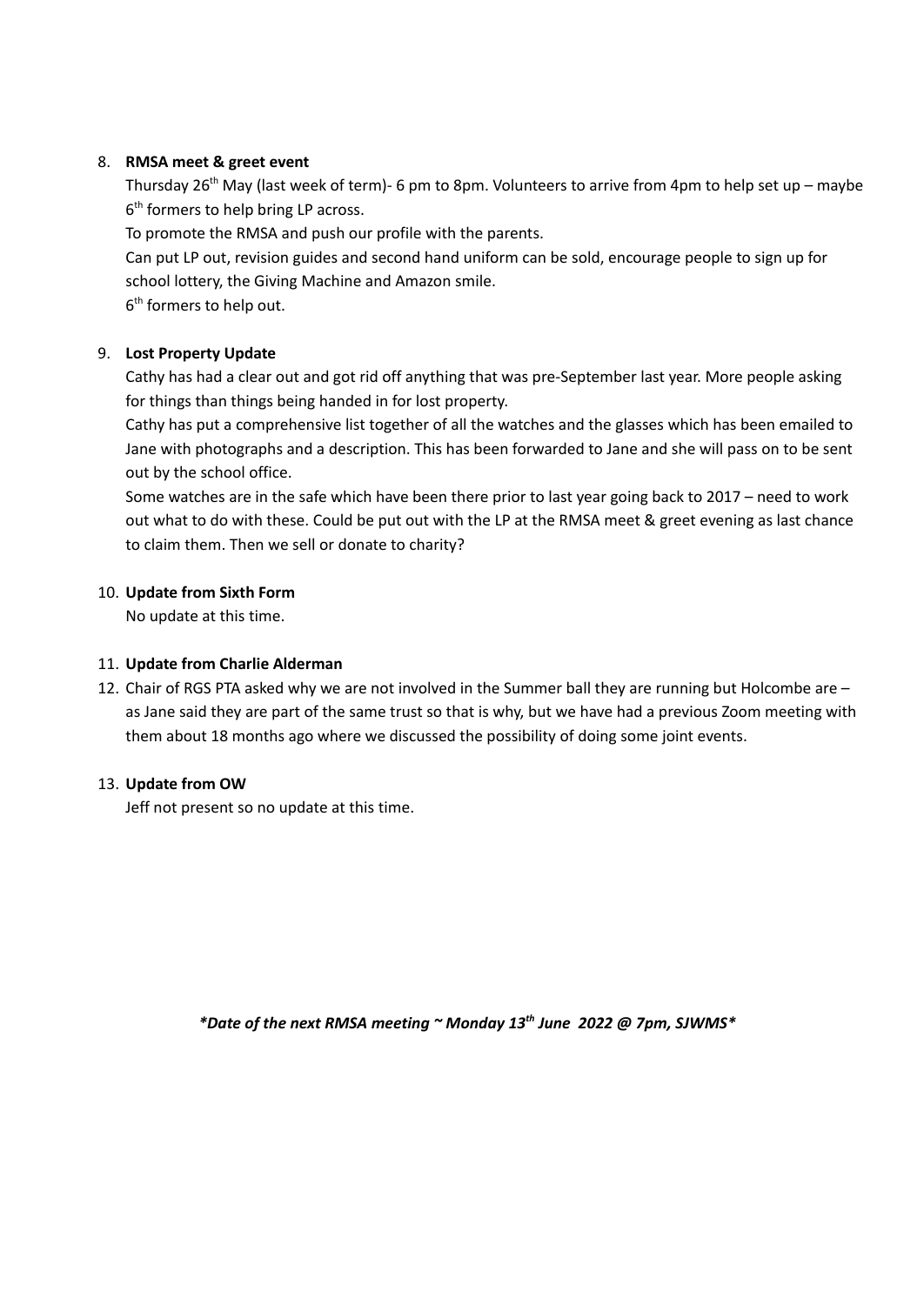## 8. **RMSA meet & greet event**

Thursday 26<sup>th</sup> May (last week of term)- 6 pm to 8pm. Volunteers to arrive from 4pm to help set up – maybe 6<sup>th</sup> formers to help bring LP across.

To promote the RMSA and push our profile with the parents.

Can put LP out, revision guides and second hand uniform can be sold, encourage people to sign up for school lottery, the Giving Machine and Amazon smile.

6<sup>th</sup> formers to help out.

# 9. **Lost Property Update**

Cathy has had a clear out and got rid off anything that was pre-September last year. More people asking for things than things being handed in for lost property.

Cathy has put a comprehensive list together of all the watches and the glasses which has been emailed to Jane with photographs and a description. This has been forwarded to Jane and she will pass on to be sent out by the school office.

Some watches are in the safe which have been there prior to last year going back to 2017 – need to work out what to do with these. Could be put out with the LP at the RMSA meet & greet evening as last chance to claim them. Then we sell or donate to charity?

## 10. **Update from Sixth Form**

No update at this time.

## 11. **Update from Charlie Alderman**

12. Chair of RGS PTA asked why we are not involved in the Summer ball they are running but Holcombe are – as Jane said they are part of the same trust so that is why, but we have had a previous Zoom meeting with them about 18 months ago where we discussed the possibility of doing some joint events.

## 13. **Update from OW**

Jeff not present so no update at this time.

*\*Date of the next RMSA meeting ~ Monday 13 th June 2022 @ 7pm, SJWMS\**